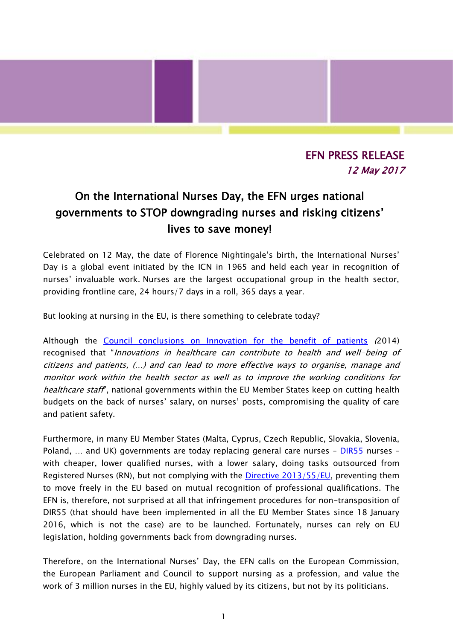## EFN PRESS RELEASE 12 May 2017

l

## On the International Nurses Day, the EFN urges national governments to STOP downgrading nurses and risking citizens' lives to save money!

Celebrated on 12 May, the date of Florence Nightingale's birth, the International Nurses' Day is a global event initiated by the ICN in 1965 and held each year in recognition of nurses' invaluable work. Nurses are the largest occupational group in the health sector, providing frontline care, 24 hours/7 days in a roll, 365 days a year.

But looking at nursing in the EU, is there something to celebrate today?

Although the [Council conclusions on Innovation for the benefit of patients](http://register.consilium.europa.eu/doc/srv?l=EN&f=ST%2015838%202014%20INIT) (2014) recognised that "Innovations in healthcare can contribute to health and well-being of citizens and patients, (…) and can lead to more effective ways to organise, manage and monitor work within the health sector as well as to improve the working conditions for healthcare staff<sup>"</sup>, national governments within the EU Member States keep on cutting health budgets on the back of nurses' salary, on nurses' posts, compromising the quality of care and patient safety.

Furthermore, in many EU Member States (Malta, Cyprus, Czech Republic, Slovakia, Slovenia, Poland, ... and UK) governments are today replacing general care nurses - [DIR55](http://eur-lex.europa.eu/legal-content/EN/TXT/?uri=celex%3A32013L0055) nurses with cheaper, lower qualified nurses, with a lower salary, doing tasks outsourced from Registered Nurses (RN), but not complying with the *Directive 2013/55/EU*, preventing them to move freely in the EU based on mutual recognition of professional qualifications. The EFN is, therefore, not surprised at all that infringement procedures for non-transposition of DIR55 (that should have been implemented in all the EU Member States since 18 January 2016, which is not the case) are to be launched. Fortunately, nurses can rely on EU legislation, holding governments back from downgrading nurses.

Therefore, on the International Nurses' Day, the EFN calls on the European Commission, the European Parliament and Council to support nursing as a profession, and value the work of 3 million nurses in the EU, highly valued by its citizens, but not by its politicians.